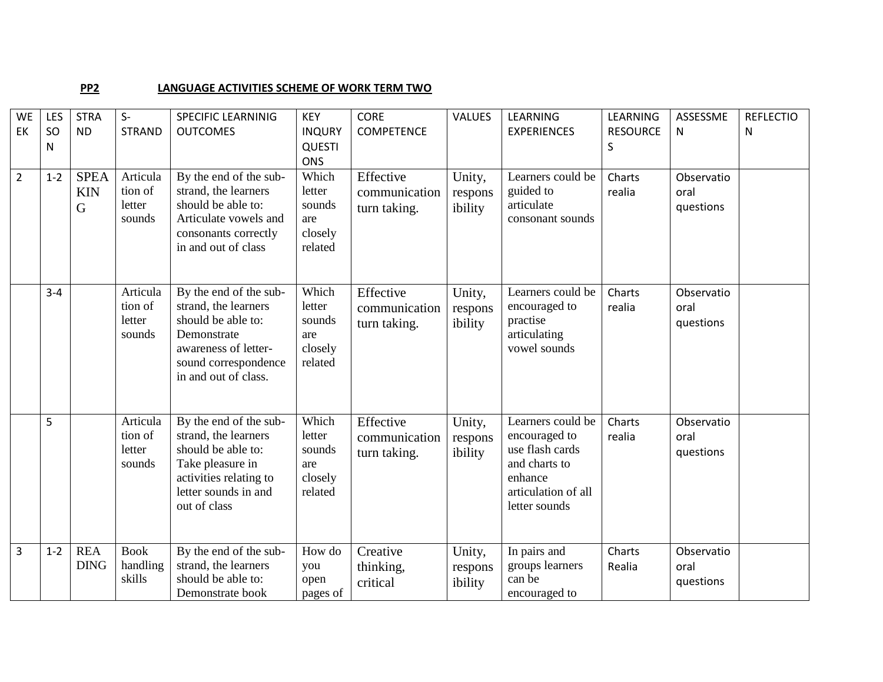## **PP2** LANGUAGE ACTIVITIES SCHEME OF WORK TERM TWO

| <b>WE</b><br>EK | LES<br>SO<br>N | <b>STRA</b><br><b>ND</b>                 | $S-$<br><b>STRAND</b>                   | <b>SPECIFIC LEARNINIG</b><br><b>OUTCOMES</b>                                                                                                                | <b>KEY</b><br><b>INQURY</b><br><b>QUESTI</b><br>ONS    | <b>CORE</b><br>COMPETENCE                  | <b>VALUES</b>                | LEARNING<br><b>EXPERIENCES</b>                                                                                            | LEARNING<br><b>RESOURCE</b><br>S | ASSESSME<br>N                   | <b>REFLECTIO</b><br>N |
|-----------------|----------------|------------------------------------------|-----------------------------------------|-------------------------------------------------------------------------------------------------------------------------------------------------------------|--------------------------------------------------------|--------------------------------------------|------------------------------|---------------------------------------------------------------------------------------------------------------------------|----------------------------------|---------------------------------|-----------------------|
| $\overline{2}$  | $1 - 2$        | <b>SPEA</b><br><b>KIN</b><br>$\mathbf G$ | Articula<br>tion of<br>letter<br>sounds | By the end of the sub-<br>strand, the learners<br>should be able to:<br>Articulate vowels and<br>consonants correctly<br>in and out of class                | Which<br>letter<br>sounds<br>are<br>closely<br>related | Effective<br>communication<br>turn taking. | Unity,<br>respons<br>ibility | Learners could be<br>guided to<br>articulate<br>consonant sounds                                                          | Charts<br>realia                 | Observatio<br>oral<br>questions |                       |
|                 | $3 - 4$        |                                          | Articula<br>tion of<br>letter<br>sounds | By the end of the sub-<br>strand, the learners<br>should be able to:<br>Demonstrate<br>awareness of letter-<br>sound correspondence<br>in and out of class. | Which<br>letter<br>sounds<br>are<br>closely<br>related | Effective<br>communication<br>turn taking. | Unity,<br>respons<br>ibility | Learners could be<br>encouraged to<br>practise<br>articulating<br>vowel sounds                                            | Charts<br>realia                 | Observatio<br>oral<br>questions |                       |
|                 | 5              |                                          | Articula<br>tion of<br>letter<br>sounds | By the end of the sub-<br>strand, the learners<br>should be able to:<br>Take pleasure in<br>activities relating to<br>letter sounds in and<br>out of class  | Which<br>letter<br>sounds<br>are<br>closely<br>related | Effective<br>communication<br>turn taking. | Unity,<br>respons<br>ibility | Learners could be<br>encouraged to<br>use flash cards<br>and charts to<br>enhance<br>articulation of all<br>letter sounds | Charts<br>realia                 | Observatio<br>oral<br>questions |                       |
| 3               | $1 - 2$        | <b>REA</b><br><b>DING</b>                | <b>Book</b><br>handling<br>skills       | By the end of the sub-<br>strand, the learners<br>should be able to:<br>Demonstrate book                                                                    | How do<br>you<br>open<br>pages of                      | Creative<br>thinking,<br>critical          | Unity,<br>respons<br>ibility | In pairs and<br>groups learners<br>can be<br>encouraged to                                                                | Charts<br>Realia                 | Observatio<br>oral<br>questions |                       |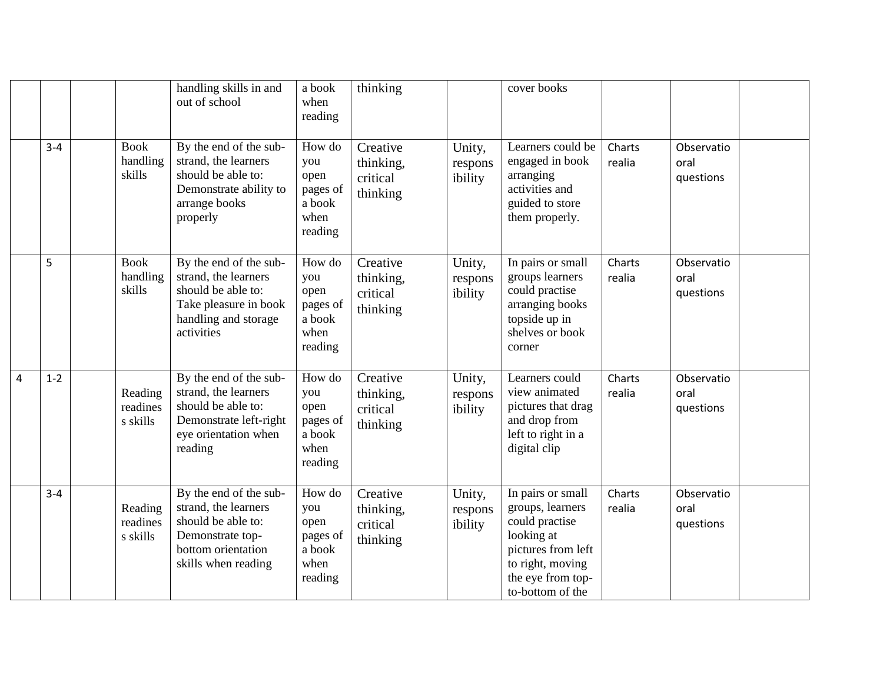|                |         |                                   | handling skills in and<br>out of school                                                                                               | a book<br>when<br>reading                                      | thinking                                      |                              | cover books                                                                                                                                              |                  |                                 |  |
|----------------|---------|-----------------------------------|---------------------------------------------------------------------------------------------------------------------------------------|----------------------------------------------------------------|-----------------------------------------------|------------------------------|----------------------------------------------------------------------------------------------------------------------------------------------------------|------------------|---------------------------------|--|
|                | $3 - 4$ | <b>Book</b><br>handling<br>skills | By the end of the sub-<br>strand, the learners<br>should be able to:<br>Demonstrate ability to<br>arrange books<br>properly           | How do<br>you<br>open<br>pages of<br>a book<br>when<br>reading | Creative<br>thinking,<br>critical<br>thinking | Unity,<br>respons<br>ibility | Learners could be<br>engaged in book<br>arranging<br>activities and<br>guided to store<br>them properly.                                                 | Charts<br>realia | Observatio<br>oral<br>questions |  |
|                | 5       | <b>Book</b><br>handling<br>skills | By the end of the sub-<br>strand, the learners<br>should be able to:<br>Take pleasure in book<br>handling and storage<br>activities   | How do<br>you<br>open<br>pages of<br>a book<br>when<br>reading | Creative<br>thinking,<br>critical<br>thinking | Unity,<br>respons<br>ibility | In pairs or small<br>groups learners<br>could practise<br>arranging books<br>topside up in<br>shelves or book<br>corner                                  | Charts<br>realia | Observatio<br>oral<br>questions |  |
| $\overline{4}$ | $1 - 2$ | Reading<br>readines<br>s skills   | By the end of the sub-<br>strand, the learners<br>should be able to:<br>Demonstrate left-right<br>eye orientation when<br>reading     | How do<br>you<br>open<br>pages of<br>a book<br>when<br>reading | Creative<br>thinking,<br>critical<br>thinking | Unity,<br>respons<br>ibility | Learners could<br>view animated<br>pictures that drag<br>and drop from<br>left to right in a<br>digital clip                                             | Charts<br>realia | Observatio<br>oral<br>questions |  |
|                | $3 - 4$ | Reading<br>readines<br>s skills   | By the end of the sub-<br>strand, the learners<br>should be able to:<br>Demonstrate top-<br>bottom orientation<br>skills when reading | How do<br>you<br>open<br>pages of<br>a book<br>when<br>reading | Creative<br>thinking,<br>critical<br>thinking | Unity,<br>respons<br>ibility | In pairs or small<br>groups, learners<br>could practise<br>looking at<br>pictures from left<br>to right, moving<br>the eye from top-<br>to-bottom of the | Charts<br>realia | Observatio<br>oral<br>questions |  |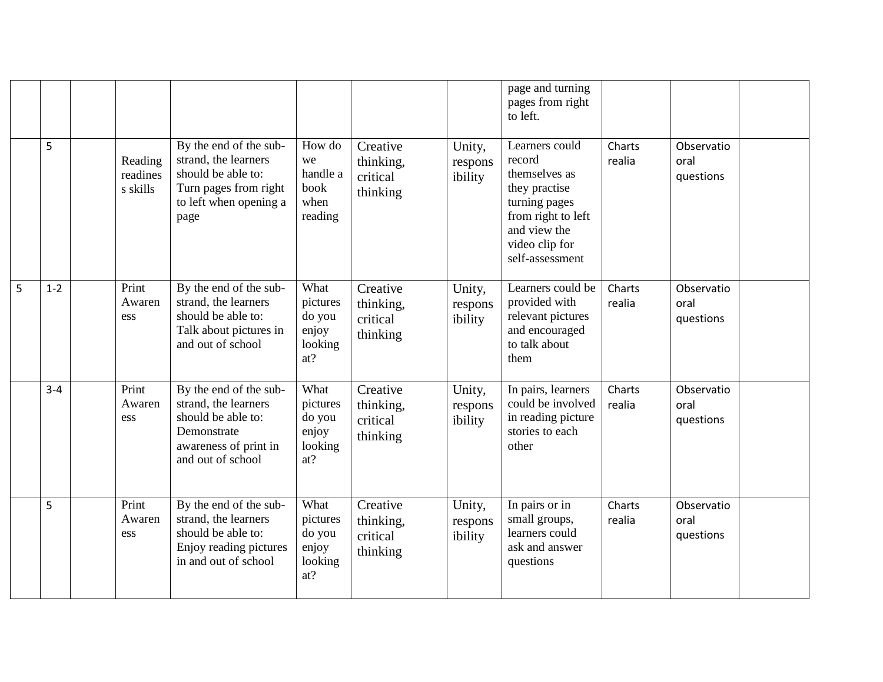|   |         |                                 |                                                                                                                                   |                                                       |                                               |                              | page and turning<br>pages from right<br>to left.                                                                                                       |                  |                                 |  |
|---|---------|---------------------------------|-----------------------------------------------------------------------------------------------------------------------------------|-------------------------------------------------------|-----------------------------------------------|------------------------------|--------------------------------------------------------------------------------------------------------------------------------------------------------|------------------|---------------------------------|--|
|   | 5       | Reading<br>readines<br>s skills | By the end of the sub-<br>strand, the learners<br>should be able to:<br>Turn pages from right<br>to left when opening a<br>page   | How do<br>we<br>handle a<br>book<br>when<br>reading   | Creative<br>thinking,<br>critical<br>thinking | Unity,<br>respons<br>ibility | Learners could<br>record<br>themselves as<br>they practise<br>turning pages<br>from right to left<br>and view the<br>video clip for<br>self-assessment | Charts<br>realia | Observatio<br>oral<br>questions |  |
| 5 | $1 - 2$ | Print<br>Awaren<br>ess          | By the end of the sub-<br>strand, the learners<br>should be able to:<br>Talk about pictures in<br>and out of school               | What<br>pictures<br>do you<br>enjoy<br>looking<br>at? | Creative<br>thinking,<br>critical<br>thinking | Unity,<br>respons<br>ibility | Learners could be<br>provided with<br>relevant pictures<br>and encouraged<br>to talk about<br>them                                                     | Charts<br>realia | Observatio<br>oral<br>questions |  |
|   | $3 - 4$ | Print<br>Awaren<br>ess          | By the end of the sub-<br>strand, the learners<br>should be able to:<br>Demonstrate<br>awareness of print in<br>and out of school | What<br>pictures<br>do you<br>enjoy<br>looking<br>at? | Creative<br>thinking,<br>critical<br>thinking | Unity,<br>respons<br>ibility | In pairs, learners<br>could be involved<br>in reading picture<br>stories to each<br>other                                                              | Charts<br>realia | Observatio<br>oral<br>questions |  |
|   | 5       | Print<br>Awaren<br>ess          | By the end of the sub-<br>strand, the learners<br>should be able to:<br>Enjoy reading pictures<br>in and out of school            | What<br>pictures<br>do you<br>enjoy<br>looking<br>at? | Creative<br>thinking,<br>critical<br>thinking | Unity,<br>respons<br>ibility | In pairs or in<br>small groups,<br>learners could<br>ask and answer<br>questions                                                                       | Charts<br>realia | Observatio<br>oral<br>questions |  |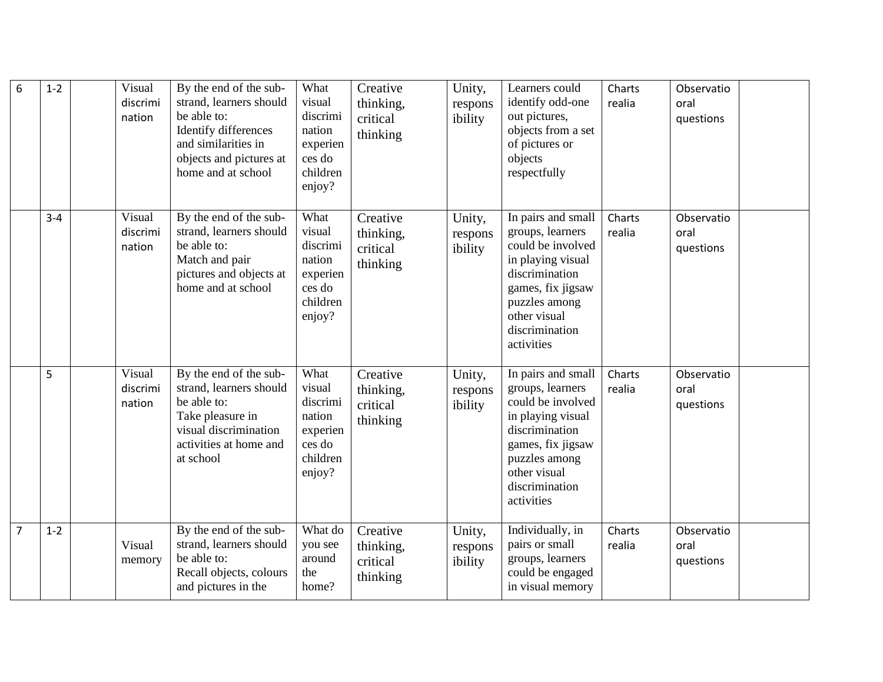| 6              | $1 - 2$ | Visual<br>discrimi<br>nation | By the end of the sub-<br>strand, learners should<br>be able to:<br>Identify differences<br>and similarities in<br>objects and pictures at<br>home and at school | What<br>visual<br>discrimi<br>nation<br>experien<br>ces do<br>children<br>enjoy? | Creative<br>thinking,<br>critical<br>thinking | Unity,<br>respons<br>ibility | Learners could<br>identify odd-one<br>out pictures,<br>objects from a set<br>of pictures or<br>objects<br>respectfully                                                                   | Charts<br>realia | Observatio<br>oral<br>questions |  |
|----------------|---------|------------------------------|------------------------------------------------------------------------------------------------------------------------------------------------------------------|----------------------------------------------------------------------------------|-----------------------------------------------|------------------------------|------------------------------------------------------------------------------------------------------------------------------------------------------------------------------------------|------------------|---------------------------------|--|
|                | $3 - 4$ | Visual<br>discrimi<br>nation | By the end of the sub-<br>strand, learners should<br>be able to:<br>Match and pair<br>pictures and objects at<br>home and at school                              | What<br>visual<br>discrimi<br>nation<br>experien<br>ces do<br>children<br>enjoy? | Creative<br>thinking,<br>critical<br>thinking | Unity,<br>respons<br>ibility | In pairs and small<br>groups, learners<br>could be involved<br>in playing visual<br>discrimination<br>games, fix jigsaw<br>puzzles among<br>other visual<br>discrimination<br>activities | Charts<br>realia | Observatio<br>oral<br>questions |  |
|                | 5       | Visual<br>discrimi<br>nation | By the end of the sub-<br>strand, learners should<br>be able to:<br>Take pleasure in<br>visual discrimination<br>activities at home and<br>at school             | What<br>visual<br>discrimi<br>nation<br>experien<br>ces do<br>children<br>enjoy? | Creative<br>thinking,<br>critical<br>thinking | Unity,<br>respons<br>ibility | In pairs and small<br>groups, learners<br>could be involved<br>in playing visual<br>discrimination<br>games, fix jigsaw<br>puzzles among<br>other visual<br>discrimination<br>activities | Charts<br>realia | Observatio<br>oral<br>questions |  |
| $\overline{7}$ | $1 - 2$ | Visual<br>memory             | By the end of the sub-<br>strand, learners should<br>be able to:<br>Recall objects, colours<br>and pictures in the                                               | What do<br>you see<br>around<br>the<br>home?                                     | Creative<br>thinking,<br>critical<br>thinking | Unity,<br>respons<br>ibility | Individually, in<br>pairs or small<br>groups, learners<br>could be engaged<br>in visual memory                                                                                           | Charts<br>realia | Observatio<br>oral<br>questions |  |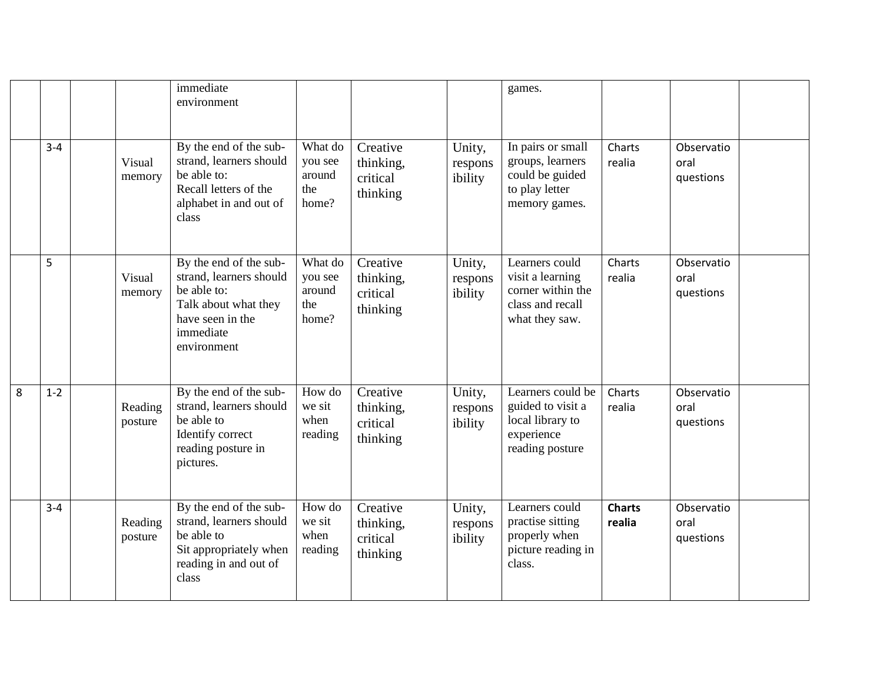|   |         |                    | immediate<br>environment                                                                                                                 |                                              |                                               |                              | games.                                                                                        |                         |                                 |  |
|---|---------|--------------------|------------------------------------------------------------------------------------------------------------------------------------------|----------------------------------------------|-----------------------------------------------|------------------------------|-----------------------------------------------------------------------------------------------|-------------------------|---------------------------------|--|
|   | $3 - 4$ | Visual<br>memory   | By the end of the sub-<br>strand, learners should<br>be able to:<br>Recall letters of the<br>alphabet in and out of<br>class             | What do<br>you see<br>around<br>the<br>home? | Creative<br>thinking,<br>critical<br>thinking | Unity,<br>respons<br>ibility | In pairs or small<br>groups, learners<br>could be guided<br>to play letter<br>memory games.   | Charts<br>realia        | Observatio<br>oral<br>questions |  |
|   | 5       | Visual<br>memory   | By the end of the sub-<br>strand, learners should<br>be able to:<br>Talk about what they<br>have seen in the<br>immediate<br>environment | What do<br>you see<br>around<br>the<br>home? | Creative<br>thinking,<br>critical<br>thinking | Unity,<br>respons<br>ibility | Learners could<br>visit a learning<br>corner within the<br>class and recall<br>what they saw. | Charts<br>realia        | Observatio<br>oral<br>questions |  |
| 8 | $1 - 2$ | Reading<br>posture | By the end of the sub-<br>strand, learners should<br>be able to<br>Identify correct<br>reading posture in<br>pictures.                   | How do<br>we sit<br>when<br>reading          | Creative<br>thinking,<br>critical<br>thinking | Unity,<br>respons<br>ibility | Learners could be<br>guided to visit a<br>local library to<br>experience<br>reading posture   | Charts<br>realia        | Observatio<br>oral<br>questions |  |
|   | $3 - 4$ | Reading<br>posture | By the end of the sub-<br>strand, learners should<br>be able to<br>Sit appropriately when<br>reading in and out of<br>class              | How do<br>we sit<br>when<br>reading          | Creative<br>thinking,<br>critical<br>thinking | Unity,<br>respons<br>ibility | Learners could<br>practise sitting<br>properly when<br>picture reading in<br>class.           | <b>Charts</b><br>realia | Observatio<br>oral<br>questions |  |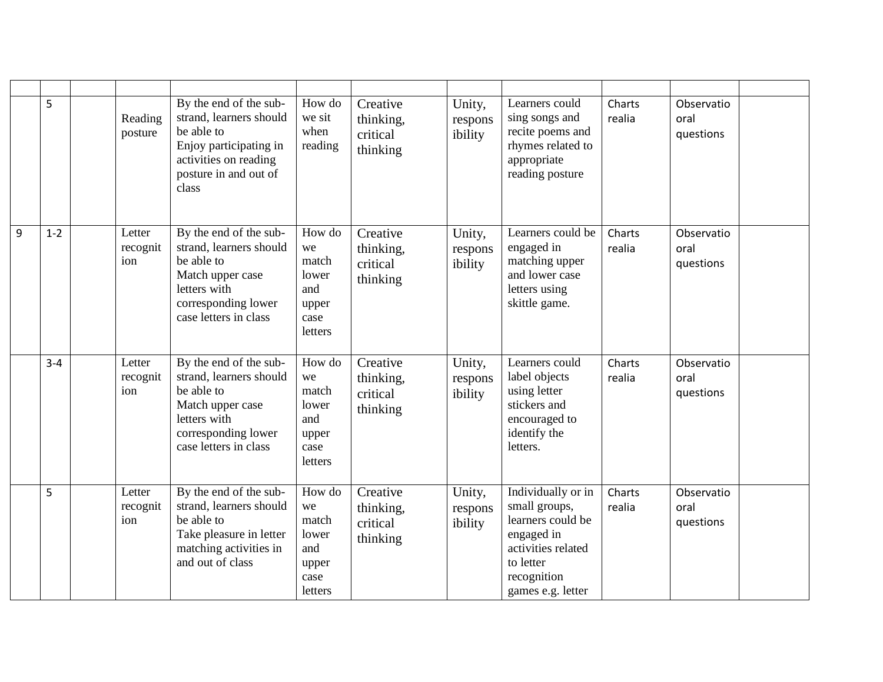|   | 5       | Reading<br>posture        | By the end of the sub-<br>strand, learners should<br>be able to<br>Enjoy participating in<br>activities on reading<br>posture in and out of<br>class | How do<br>we sit<br>when<br>reading                               | Creative<br>thinking,<br>critical<br>thinking | Unity,<br>respons<br>ibility | Learners could<br>sing songs and<br>recite poems and<br>rhymes related to<br>appropriate<br>reading posture                                   | Charts<br>realia | Observatio<br>oral<br>questions |  |
|---|---------|---------------------------|------------------------------------------------------------------------------------------------------------------------------------------------------|-------------------------------------------------------------------|-----------------------------------------------|------------------------------|-----------------------------------------------------------------------------------------------------------------------------------------------|------------------|---------------------------------|--|
| 9 | $1 - 2$ | Letter<br>recognit<br>ion | By the end of the sub-<br>strand, learners should<br>be able to<br>Match upper case<br>letters with<br>corresponding lower<br>case letters in class  | How do<br>we<br>match<br>lower<br>and<br>upper<br>case<br>letters | Creative<br>thinking,<br>critical<br>thinking | Unity,<br>respons<br>ibility | Learners could be<br>engaged in<br>matching upper<br>and lower case<br>letters using<br>skittle game.                                         | Charts<br>realia | Observatio<br>oral<br>questions |  |
|   | $3 - 4$ | Letter<br>recognit<br>ion | By the end of the sub-<br>strand, learners should<br>be able to<br>Match upper case<br>letters with<br>corresponding lower<br>case letters in class  | How do<br>we<br>match<br>lower<br>and<br>upper<br>case<br>letters | Creative<br>thinking,<br>critical<br>thinking | Unity,<br>respons<br>ibility | Learners could<br>label objects<br>using letter<br>stickers and<br>encouraged to<br>identify the<br>letters.                                  | Charts<br>realia | Observatio<br>oral<br>questions |  |
|   | 5       | Letter<br>recognit<br>ion | By the end of the sub-<br>strand, learners should<br>be able to<br>Take pleasure in letter<br>matching activities in<br>and out of class             | How do<br>we<br>match<br>lower<br>and<br>upper<br>case<br>letters | Creative<br>thinking,<br>critical<br>thinking | Unity,<br>respons<br>ibility | Individually or in<br>small groups,<br>learners could be<br>engaged in<br>activities related<br>to letter<br>recognition<br>games e.g. letter | Charts<br>realia | Observatio<br>oral<br>questions |  |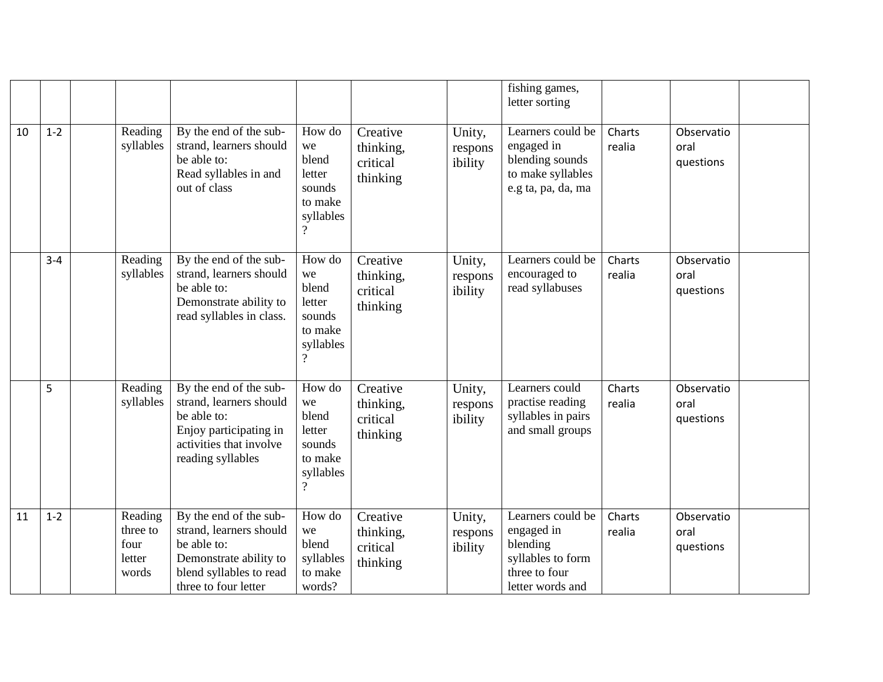|    |         |                                                |                                                                                                                                               |                                                                                         |                                               |                              | fishing games,<br>letter sorting                                                                      |                  |                                 |  |
|----|---------|------------------------------------------------|-----------------------------------------------------------------------------------------------------------------------------------------------|-----------------------------------------------------------------------------------------|-----------------------------------------------|------------------------------|-------------------------------------------------------------------------------------------------------|------------------|---------------------------------|--|
| 10 | $1 - 2$ | Reading<br>syllables                           | By the end of the sub-<br>strand, learners should<br>be able to:<br>Read syllables in and<br>out of class                                     | How do<br>we<br>blend<br>letter<br>sounds<br>to make<br>syllables<br>$\overline{?}$     | Creative<br>thinking,<br>critical<br>thinking | Unity,<br>respons<br>ibility | Learners could be<br>engaged in<br>blending sounds<br>to make syllables<br>e.g ta, pa, da, ma         | Charts<br>realia | Observatio<br>oral<br>questions |  |
|    | $3 - 4$ | Reading<br>syllables                           | By the end of the sub-<br>strand, learners should<br>be able to:<br>Demonstrate ability to<br>read syllables in class.                        | How do<br>we<br>blend<br>letter<br>sounds<br>to make<br>syllables<br>$\overline{\cdot}$ | Creative<br>thinking,<br>critical<br>thinking | Unity,<br>respons<br>ibility | Learners could be<br>encouraged to<br>read syllabuses                                                 | Charts<br>realia | Observatio<br>oral<br>questions |  |
|    | 5       | Reading<br>syllables                           | By the end of the sub-<br>strand, learners should<br>be able to:<br>Enjoy participating in<br>activities that involve<br>reading syllables    | How do<br>we<br>blend<br>letter<br>sounds<br>to make<br>syllables<br>$\overline{?}$     | Creative<br>thinking,<br>critical<br>thinking | Unity,<br>respons<br>ibility | Learners could<br>practise reading<br>syllables in pairs<br>and small groups                          | Charts<br>realia | Observatio<br>oral<br>questions |  |
| 11 | $1 - 2$ | Reading<br>three to<br>four<br>letter<br>words | By the end of the sub-<br>strand, learners should<br>be able to:<br>Demonstrate ability to<br>blend syllables to read<br>three to four letter | How do<br>we<br>blend<br>syllables<br>to make<br>words?                                 | Creative<br>thinking,<br>critical<br>thinking | Unity,<br>respons<br>ibility | Learners could be<br>engaged in<br>blending<br>syllables to form<br>three to four<br>letter words and | Charts<br>realia | Observatio<br>oral<br>questions |  |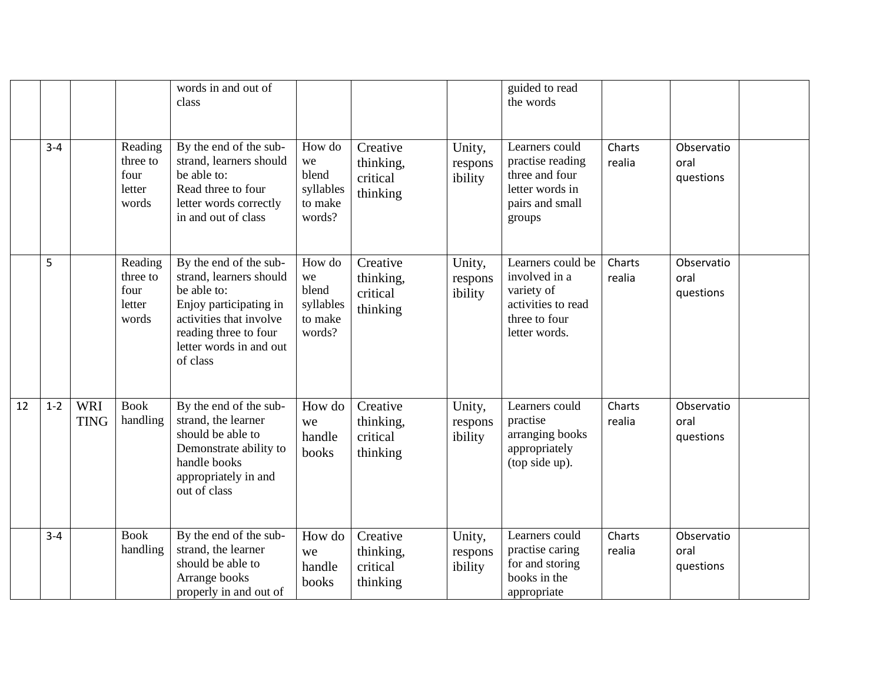|    |         |                           |                                                | words in and out of<br>class                                                                                                                                                          |                                                         |                                               |                              | guided to read<br>the words                                                                              |                  |                                 |  |
|----|---------|---------------------------|------------------------------------------------|---------------------------------------------------------------------------------------------------------------------------------------------------------------------------------------|---------------------------------------------------------|-----------------------------------------------|------------------------------|----------------------------------------------------------------------------------------------------------|------------------|---------------------------------|--|
|    | $3 - 4$ |                           | Reading<br>three to<br>four<br>letter<br>words | By the end of the sub-<br>strand, learners should<br>be able to:<br>Read three to four<br>letter words correctly<br>in and out of class                                               | How do<br>we<br>blend<br>syllables<br>to make<br>words? | Creative<br>thinking,<br>critical<br>thinking | Unity,<br>respons<br>ibility | Learners could<br>practise reading<br>three and four<br>letter words in<br>pairs and small<br>groups     | Charts<br>realia | Observatio<br>oral<br>questions |  |
|    | 5       |                           | Reading<br>three to<br>four<br>letter<br>words | By the end of the sub-<br>strand, learners should<br>be able to:<br>Enjoy participating in<br>activities that involve<br>reading three to four<br>letter words in and out<br>of class | How do<br>we<br>blend<br>syllables<br>to make<br>words? | Creative<br>thinking,<br>critical<br>thinking | Unity,<br>respons<br>ibility | Learners could be<br>involved in a<br>variety of<br>activities to read<br>three to four<br>letter words. | Charts<br>realia | Observatio<br>oral<br>questions |  |
| 12 | $1 - 2$ | <b>WRI</b><br><b>TING</b> | <b>Book</b><br>handling                        | By the end of the sub-<br>strand, the learner<br>should be able to<br>Demonstrate ability to<br>handle books<br>appropriately in and<br>out of class                                  | How do<br>we<br>handle<br>books                         | Creative<br>thinking,<br>critical<br>thinking | Unity,<br>respons<br>ibility | Learners could<br>practise<br>arranging books<br>appropriately<br>(top side up).                         | Charts<br>realia | Observatio<br>oral<br>questions |  |
|    | $3 - 4$ |                           | <b>Book</b><br>handling                        | By the end of the sub-<br>strand, the learner<br>should be able to<br>Arrange books<br>properly in and out of                                                                         | How do<br>we<br>handle<br>books                         | Creative<br>thinking,<br>critical<br>thinking | Unity,<br>respons<br>ibility | Learners could<br>practise caring<br>for and storing<br>books in the<br>appropriate                      | Charts<br>realia | Observatio<br>oral<br>questions |  |